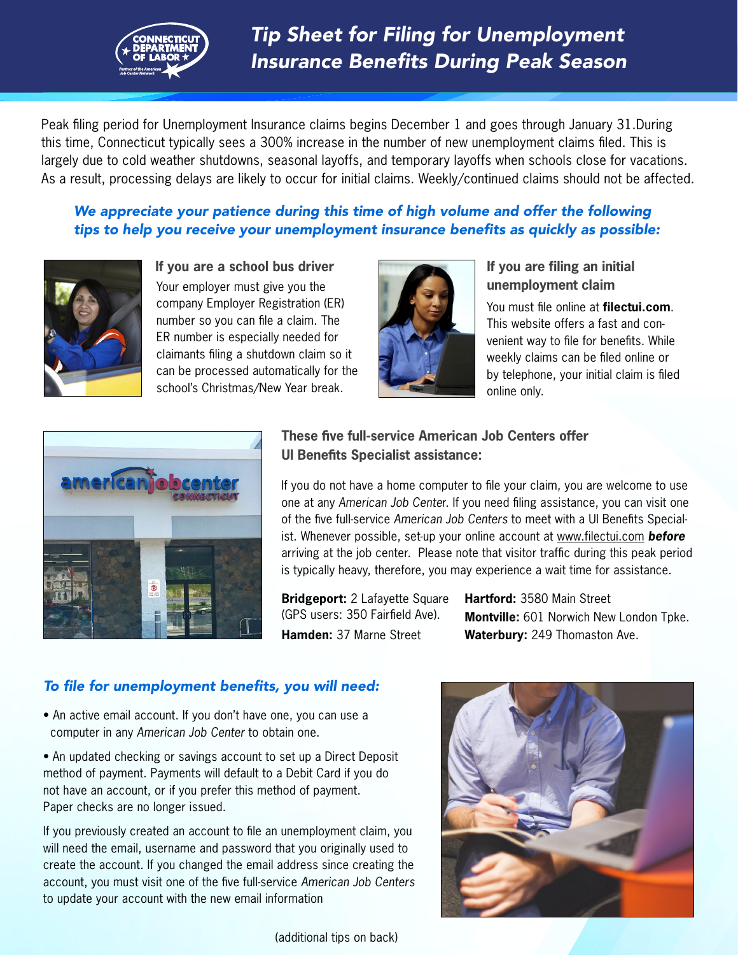

Peak filing period for Unemployment Insurance claims begins December 1 and goes through January 31.During this time, Connecticut typically sees a 300% increase in the number of new unemployment claims filed. This is largely due to cold weather shutdowns, seasonal layoffs, and temporary layoffs when schools close for vacations. As a result, processing delays are likely to occur for initial claims. Weekly/continued claims should not be affected.

### We appreciate your patience during this time of high volume and offer the following tips to help you receive your unemployment insurance benefits as quickly as possible:



Your employer must give you the company Employer Registration (ER) number so you can file a claim. The ER number is especially needed for claimants filing a shutdown claim so it can be processed automatically for the school's Christmas/New Year break. **If you are a school bus driver**



#### **If you are filing an initial unemployment claim**

You must file online at **filectui.com**. This website offers a fast and convenient way to file for benefits. While weekly claims can be filed online or by telephone, your initial claim is filed online only.



## **These five full-service American Job Centers offer UI Benefits Specialist assistance:**

If you do not have a home computer to file your claim, you are welcome to use one at any *American Job Cente*r. If you need filing assistance, you can visit one of the five full-service *American Job Centers* to meet with a UI Benefits Specialist. Whenever possible, set-up your online account at www.filectui.com *before* arriving at the job center. Please note that visitor traffic during this peak period is typically heavy, therefore, you may experience a wait time for assistance.

**Bridgeport:** 2 Lafayette Square (GPS users: 350 Fairfield Ave). **Hamden:** 37 Marne Street

**Hartford:** 3580 Main Street **Montville:** 601 Norwich New London Tpke. **Waterbury:** 249 Thomaston Ave.

## To file for unemployment benefits, you will need:

• An active email account. If you don't have one, you can use a computer in any *American Job Center* to obtain one.

• An updated checking or savings account to set up a Direct Deposit method of payment. Payments will default to a Debit Card if you do not have an account, or if you prefer this method of payment. Paper checks are no longer issued.

If you previously created an account to file an unemployment claim, you will need the email, username and password that you originally used to create the account. If you changed the email address since creating the account, you must visit one of the five full-service *American Job Centers* to update your account with the new email information